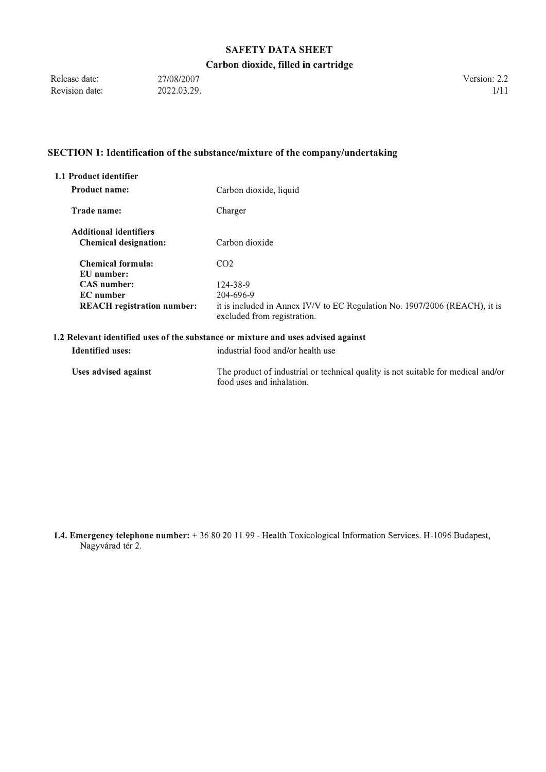## **Carbon dioxide, filled in cartridge**

Release date: Revision date: 27/08/2007 2022.03.29. Version: 2.2  $1/11$ 

## **SECTION 1: Identification of the substance/mixture of the company/undertaking**

| 1.1 Product identifier                                        |                                                                                                           |  |
|---------------------------------------------------------------|-----------------------------------------------------------------------------------------------------------|--|
| <b>Product name:</b>                                          | Carbon dioxide, liquid                                                                                    |  |
| Trade name:                                                   | Charger                                                                                                   |  |
| <b>Additional identifiers</b><br><b>Chemical designation:</b> | Carbon dioxide                                                                                            |  |
| Chemical formula:<br>EU number:                               | CO <sub>2</sub>                                                                                           |  |
| CAS number:                                                   | 124-38-9                                                                                                  |  |
| <b>EC</b> number                                              | 204-696-9                                                                                                 |  |
| <b>REACH</b> registration number:                             | it is included in Annex IV/V to EC Regulation No. 1907/2006 (REACH), it is<br>excluded from registration. |  |
|                                                               | 1.2 Relevant identified uses of the substance or mixture and uses advised against                         |  |
| <b>Identified uses:</b>                                       | industrial food and/or health use                                                                         |  |
| Uses advised against                                          | The product of industrial or technical quality is not suitable for medical and/or                         |  |

**1.4. Emergency telephone number:+** 36 80 20 11 99 - Health Toxicological Information Services. H-1096 Budapest, Nagyvárad tér 2.

food uses and inhalation.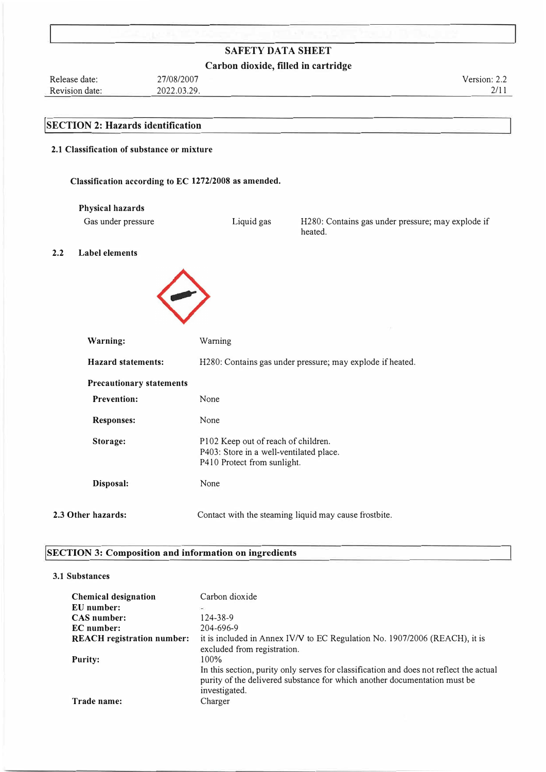## **Carbon dioxide, filled in cartridge**

Release date: Revision date: 27/08/2007 2022.03.29. **!SECTION 2: Hazards identification** Version: 2.2 2/11

# **2.1 Classification of substance or mixture**

**Classification according to EC 1272/2008 as amended.** 

| Physical hazards |  |
|------------------|--|
|------------------|--|

Gas under pressure Liquid gas H280: Contains gas under pressure; may explode if heated.

**2.2 Label elements** 



| Warning:                        | Warning                                                                                                       |  |
|---------------------------------|---------------------------------------------------------------------------------------------------------------|--|
| <b>Hazard statements:</b>       | H280: Contains gas under pressure; may explode if heated.                                                     |  |
| <b>Precautionary statements</b> |                                                                                                               |  |
| <b>Prevention:</b>              | None                                                                                                          |  |
| <b>Responses:</b>               | None                                                                                                          |  |
| Storage:                        | P102 Keep out of reach of children.<br>P403: Store in a well-ventilated place.<br>P410 Protect from sunlight. |  |
| Disposal:                       | None                                                                                                          |  |
| 2.3 Other hazards:              | Contact with the steaming liquid may cause frostbite.                                                         |  |

#### **SECTION 3: Composition and information on ingredients**

#### **3.1 Substances**

| <b>Chemical designation</b>       | Carbon dioxide                                                                         |
|-----------------------------------|----------------------------------------------------------------------------------------|
| EU number:                        | $\frac{1}{2}$                                                                          |
| <b>CAS</b> number:                | 124-38-9                                                                               |
| <b>EC</b> number:                 | 204-696-9                                                                              |
| <b>REACH</b> registration number: | it is included in Annex IV/V to EC Regulation No. 1907/2006 (REACH), it is             |
|                                   | excluded from registration.                                                            |
| <b>Purity:</b>                    | 100%                                                                                   |
|                                   | In this section, purity only serves for classification and does not reflect the actual |
|                                   | purity of the delivered substance for which another documentation must be              |
|                                   | investigated.                                                                          |
| Trade name:                       | Charger                                                                                |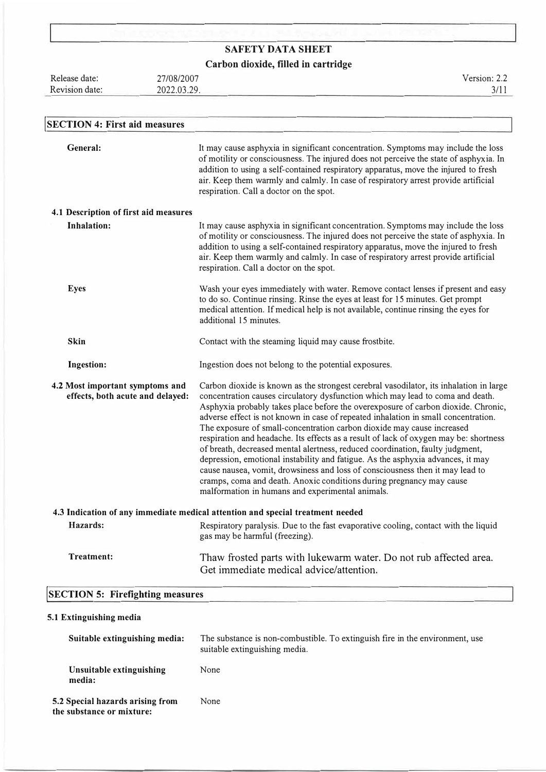| <b>SAFETY DATA SHEET</b>                                            |                                                                                |                                                                                                                                                                                                                                                                                                                                                                                                                                                                                                                                                                                                                                                                                                                                                                                                                                                     |  |
|---------------------------------------------------------------------|--------------------------------------------------------------------------------|-----------------------------------------------------------------------------------------------------------------------------------------------------------------------------------------------------------------------------------------------------------------------------------------------------------------------------------------------------------------------------------------------------------------------------------------------------------------------------------------------------------------------------------------------------------------------------------------------------------------------------------------------------------------------------------------------------------------------------------------------------------------------------------------------------------------------------------------------------|--|
| Carbon dioxide, filled in cartridge                                 |                                                                                |                                                                                                                                                                                                                                                                                                                                                                                                                                                                                                                                                                                                                                                                                                                                                                                                                                                     |  |
| Release date:                                                       | 27/08/2007                                                                     | Version: 2.2                                                                                                                                                                                                                                                                                                                                                                                                                                                                                                                                                                                                                                                                                                                                                                                                                                        |  |
| Revision date:                                                      | 2022.03.29.                                                                    | 3/11                                                                                                                                                                                                                                                                                                                                                                                                                                                                                                                                                                                                                                                                                                                                                                                                                                                |  |
|                                                                     |                                                                                |                                                                                                                                                                                                                                                                                                                                                                                                                                                                                                                                                                                                                                                                                                                                                                                                                                                     |  |
| <b>SECTION 4: First aid measures</b>                                |                                                                                |                                                                                                                                                                                                                                                                                                                                                                                                                                                                                                                                                                                                                                                                                                                                                                                                                                                     |  |
| General:                                                            | respiration. Call a doctor on the spot.                                        | It may cause asphyxia in significant concentration. Symptoms may include the loss<br>of motility or consciousness. The injured does not perceive the state of asphyxia. In<br>addition to using a self-contained respiratory apparatus, move the injured to fresh<br>air. Keep them warmly and calmly. In case of respiratory arrest provide artificial                                                                                                                                                                                                                                                                                                                                                                                                                                                                                             |  |
| 4.1 Description of first aid measures                               |                                                                                |                                                                                                                                                                                                                                                                                                                                                                                                                                                                                                                                                                                                                                                                                                                                                                                                                                                     |  |
| <b>Inhalation:</b>                                                  | respiration. Call a doctor on the spot.                                        | It may cause asphyxia in significant concentration. Symptoms may include the loss<br>of motility or consciousness. The injured does not perceive the state of asphyxia. In<br>addition to using a self-contained respiratory apparatus, move the injured to fresh<br>air. Keep them warmly and calmly. In case of respiratory arrest provide artificial                                                                                                                                                                                                                                                                                                                                                                                                                                                                                             |  |
| <b>Eyes</b>                                                         | additional 15 minutes.                                                         | Wash your eyes immediately with water. Remove contact lenses if present and easy<br>to do so. Continue rinsing. Rinse the eyes at least for 15 minutes. Get prompt<br>medical attention. If medical help is not available, continue rinsing the eyes for                                                                                                                                                                                                                                                                                                                                                                                                                                                                                                                                                                                            |  |
| <b>Skin</b>                                                         | Contact with the steaming liquid may cause frostbite.                          |                                                                                                                                                                                                                                                                                                                                                                                                                                                                                                                                                                                                                                                                                                                                                                                                                                                     |  |
| <b>Ingestion:</b>                                                   | Ingestion does not belong to the potential exposures.                          |                                                                                                                                                                                                                                                                                                                                                                                                                                                                                                                                                                                                                                                                                                                                                                                                                                                     |  |
| 4.2 Most important symptoms and<br>effects, both acute and delayed: | malformation in humans and experimental animals.                               | Carbon dioxide is known as the strongest cerebral vasodilator, its inhalation in large<br>concentration causes circulatory dysfunction which may lead to coma and death.<br>Asphyxia probably takes place before the overexposure of carbon dioxide. Chronic,<br>adverse effect is not known in case of repeated inhalation in small concentration.<br>The exposure of small-concentration carbon dioxide may cause increased<br>respiration and headache. Its effects as a result of lack of oxygen may be: shortness<br>of breath, decreased mental alertness, reduced coordination, faulty judgment,<br>depression, emotional instability and fatigue. As the asphyxia advances, it may<br>cause nausea, vomit, drowsiness and loss of consciousness then it may lead to<br>cramps, coma and death. Anoxic conditions during pregnancy may cause |  |
|                                                                     | 4.3 Indication of any immediate medical attention and special treatment needed |                                                                                                                                                                                                                                                                                                                                                                                                                                                                                                                                                                                                                                                                                                                                                                                                                                                     |  |
| Hazards:                                                            | gas may be harmful (freezing).                                                 | Respiratory paralysis. Due to the fast evaporative cooling, contact with the liquid                                                                                                                                                                                                                                                                                                                                                                                                                                                                                                                                                                                                                                                                                                                                                                 |  |
| <b>Treatment:</b>                                                   | Get immediate medical advice/attention.                                        | Thaw frosted parts with lukewarm water. Do not rub affected area.                                                                                                                                                                                                                                                                                                                                                                                                                                                                                                                                                                                                                                                                                                                                                                                   |  |
| <b>SECTION 5: Firefighting measures</b>                             |                                                                                |                                                                                                                                                                                                                                                                                                                                                                                                                                                                                                                                                                                                                                                                                                                                                                                                                                                     |  |

# **5.1 Extinguishing media**

| Suitable extinguishing media:                                 | The substance is non-combustible. To extinguish fire in the environment, use<br>suitable extinguishing media. |
|---------------------------------------------------------------|---------------------------------------------------------------------------------------------------------------|
| Unsuitable extinguishing<br>media:                            | None                                                                                                          |
| 5.2 Special hazards arising from<br>the substance or mixture: | None                                                                                                          |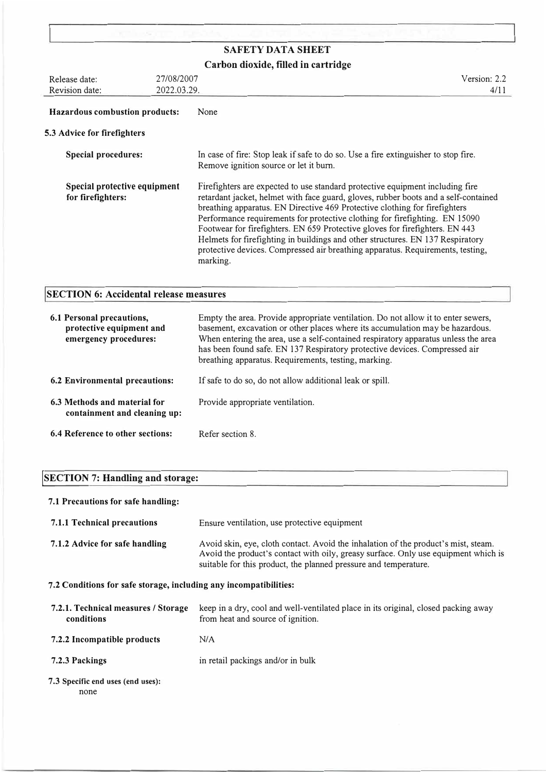|                                                   |             | <b>SAFETY DATA SHEET</b>                                                                                                                                                                                                                                                                                                                                                                                                                                                                                                                                                                          |  |
|---------------------------------------------------|-------------|---------------------------------------------------------------------------------------------------------------------------------------------------------------------------------------------------------------------------------------------------------------------------------------------------------------------------------------------------------------------------------------------------------------------------------------------------------------------------------------------------------------------------------------------------------------------------------------------------|--|
| Carbon dioxide, filled in cartridge               |             |                                                                                                                                                                                                                                                                                                                                                                                                                                                                                                                                                                                                   |  |
| Release date:                                     | 27/08/2007  | Version: 2.2                                                                                                                                                                                                                                                                                                                                                                                                                                                                                                                                                                                      |  |
| Revision date:                                    | 2022.03.29. | 4/11                                                                                                                                                                                                                                                                                                                                                                                                                                                                                                                                                                                              |  |
| <b>Hazardous combustion products:</b>             |             | None                                                                                                                                                                                                                                                                                                                                                                                                                                                                                                                                                                                              |  |
| 5.3 Advice for firefighters                       |             |                                                                                                                                                                                                                                                                                                                                                                                                                                                                                                                                                                                                   |  |
| <b>Special procedures:</b>                        |             | In case of fire: Stop leak if safe to do so. Use a fire extinguisher to stop fire.<br>Remove ignition source or let it burn.                                                                                                                                                                                                                                                                                                                                                                                                                                                                      |  |
| Special protective equipment<br>for firefighters: |             | Firefighters are expected to use standard protective equipment including fire<br>retardant jacket, helmet with face guard, gloves, rubber boots and a self-contained<br>breathing apparatus. EN Directive 469 Protective clothing for firefighters<br>Performance requirements for protective clothing for firefighting. EN 15090<br>Footwear for firefighters. EN 659 Protective gloves for firefighters. EN 443<br>Helmets for firefighting in buildings and other structures. EN 137 Respiratory<br>protective devices. Compressed air breathing apparatus. Requirements, testing,<br>marking. |  |

# **SECTION 6: Accidental release measures**

| 6.1 Personal precautions,<br>protective equipment and<br>emergency procedures: | Empty the area. Provide appropriate ventilation. Do not allow it to enter sewers,<br>basement, excavation or other places where its accumulation may be hazardous.<br>When entering the area, use a self-contained respiratory apparatus unless the area<br>has been found safe. EN 137 Respiratory protective devices. Compressed air<br>breathing apparatus. Requirements, testing, marking. |
|--------------------------------------------------------------------------------|------------------------------------------------------------------------------------------------------------------------------------------------------------------------------------------------------------------------------------------------------------------------------------------------------------------------------------------------------------------------------------------------|
| <b>6.2 Environmental precautions:</b>                                          | If safe to do so, do not allow additional leak or spill.                                                                                                                                                                                                                                                                                                                                       |
| 6.3 Methods and material for<br>containment and cleaning up:                   | Provide appropriate ventilation.                                                                                                                                                                                                                                                                                                                                                               |
| 6.4 Reference to other sections:                                               | Refer section 8.                                                                                                                                                                                                                                                                                                                                                                               |

# **!SECTION 7: Handling and storage:**

## **7.1 Precautions for safe handling:**

| <b>7.1.1 Technical precautions</b> | Ensure ventilation, use protective equipment                                                                                                                                                                                                 |  |
|------------------------------------|----------------------------------------------------------------------------------------------------------------------------------------------------------------------------------------------------------------------------------------------|--|
| 7.1.2 Advice for safe handling     | Avoid skin, eye, cloth contact. Avoid the inhalation of the product's mist, steam.<br>Avoid the product's contact with oily, greasy surface. Only use equipment which is<br>suitable for this product, the planned pressure and temperature. |  |

**7.2 Conditions for safe storage, including any incompatibilities:** 

| 7.2.1. Technical measures / Storage<br>conditions | keep in a dry, cool and well-ventilated place in its original, closed packing away<br>from heat and source of ignition. |  |
|---------------------------------------------------|-------------------------------------------------------------------------------------------------------------------------|--|
| 7.2.2 Incompatible products                       | N/A                                                                                                                     |  |
| 7.2.3 Packings                                    | in retail packings and/or in bulk                                                                                       |  |
| 7.3 Specific end uses (end uses):<br>none         |                                                                                                                         |  |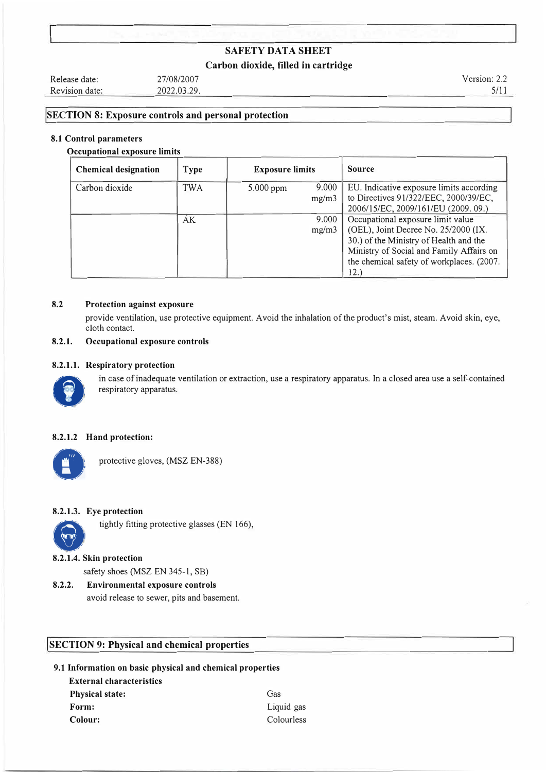### **Carbon dioxide, filled in cartridge**

Release date: Revision date: 27/08/2007 2022.03.29. Version: 2.2 5/11

### **SECTION 8: Exposure controls and personal protection**

#### **8.1 Control parameters**

#### **0 ccupational exposure limits**

| <b>Chemical designation</b> | <b>Type</b> | <b>Exposure limits</b> |                | <b>Source</b>                                                                                                                                                                                                        |
|-----------------------------|-------------|------------------------|----------------|----------------------------------------------------------------------------------------------------------------------------------------------------------------------------------------------------------------------|
| Carbon dioxide              | TWA         | $5.000$ ppm            | 9.000<br>mg/m3 | EU. Indicative exposure limits according<br>to Directives 91/322/EEC, 2000/39/EC,<br>2006/15/EC, 2009/161/EU (2009. 09.)                                                                                             |
|                             | AK          |                        | 9.000<br>mg/m3 | Occupational exposure limit value<br>(OEL), Joint Decree No. 25/2000 (IX.<br>30.) of the Ministry of Health and the<br>Ministry of Social and Family Affairs on<br>the chemical safety of workplaces. (2007.<br>12.) |

#### **8.2 Protection against exposure**

provide ventilation, use protective equipment. Avoid the inhalation of the product's mist, steam. Avoid skin, eye, cloth contact.

#### **8.2.1. Occupational exposure controls**

#### **8.2.1.1. Respiratory protection**



in case of inadequate ventilation or extraction, use a respiratory apparatus. In a closed area use a self-contained respiratory apparatus.

#### **8.2.1.2 Hand protection:**



protective gloves, (MSZ EN-388)

#### **8.2.1.3. Eye protection**

tightly fitting protective glasses (EN 166),

#### **8.2.1.4. Skin protection**

safety shoes (MSZ EN 345-1, SB)

**8.2.2. Environmental exposure controls**  avoid release to sewer, pits and basement.

### **SECTION 9: Physical and chemical properties**

### **9.1 Information on basic physical and chemical properties**

**External characteristics Physical state: Form: Colour:** 

Gas Liquid gas Colourless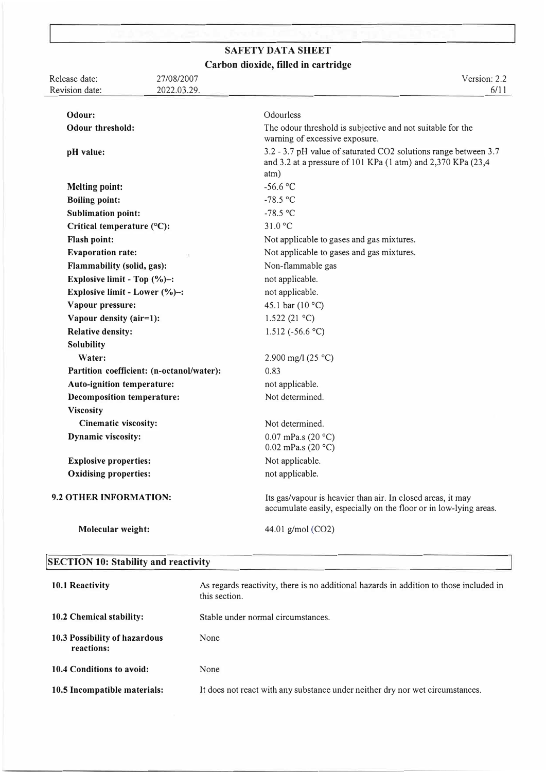## **SAFETY DATA SHEET Carbon dioxide, filled in cartridge**

Release date: Revision date: 27/08/2007 2022.03.29. Version: 2.2 6/11 **Odour: Odour threshold: pH value: Melting point: Boiling point: Sublimation point: Critical temperature ( <sup>0</sup>C): Flash point: Evaporation rate: Flammability (solid, gas): Explosive limit - Top (%)-: Explosive limit - Lower (%)-: Vapour pressure: Vapour density (air=l): Relative density: Solubility Water: Odourless** The odour threshold is subjective and not suitable for the warning of excessive exposure. 3.2 - 3.7 pH value of saturated CO2 solutions range between 3.7 and 3.2 at a pressure of 101 KPa (I atm) and 2,370 KPa (23,4 atm)  $-56.6$  °C  $-78.5$  °C -78.5 °C 31.0 °C Not applicable to gases and gas mixtures. Not applicable to gases and gas mixtures. Non-flammable gas not applicable. not applicable. 45.1 bar  $(10 °C)$  $1.522(21 °C)$ 1.512 (-56.6 °C) **Partition coefficient: (n-octanol/water):**  2.900 mg/l (25  $^{\circ}$ C) 0.83 **Auto-ignition temperature: Decomposition temperature: Viscosity Cinematic viscosity: Dynamic viscosity: Explosive properties: Oxidising properties: 9.2 OTHER INFORMATION: Molecular weight:**  not applicable. Not determined. Not determined.  $0.07$  mPa.s (20 °C) 0.02 mPa.s (20 $^{\circ}$ C) Not applicable. not applicable. Its gas/vapour is heavier than air. In closed areas, it may accumulate easily, especially on the floor or in low-lying areas. 44.01 g/mol (CO2)

## **!SECTION 10: Stability and reactivity**

| 10.1 Reactivity                             | As regards reactivity, there is no additional hazards in addition to those included in<br>this section. |  |
|---------------------------------------------|---------------------------------------------------------------------------------------------------------|--|
| 10.2 Chemical stability:                    | Stable under normal circumstances.                                                                      |  |
| 10.3 Possibility of hazardous<br>reactions: | None                                                                                                    |  |
| 10.4 Conditions to avoid:                   | None                                                                                                    |  |
| 10.5 Incompatible materials:                | It does not react with any substance under neither dry nor wet circumstances.                           |  |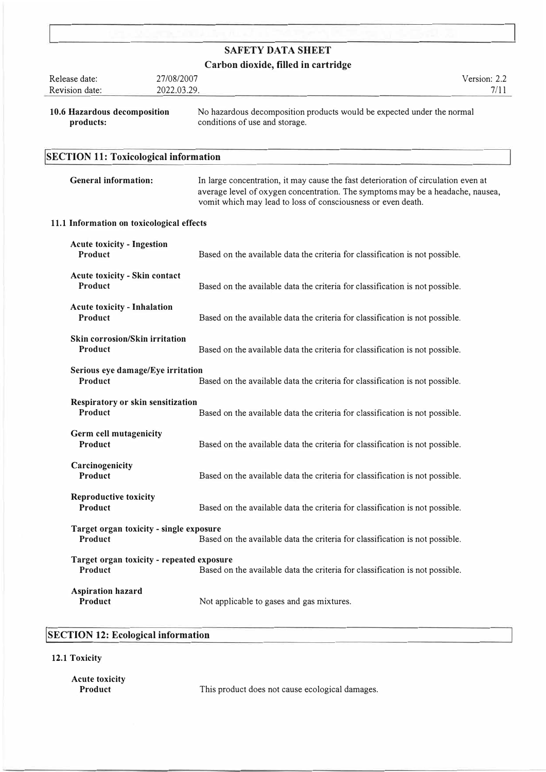## **Carbon dioxide, filled in cartridge**

| Release date:<br>Revision date:                             | 27/08/2007<br>2022.03.29. |                                                                                                                                                                                                                                      | Version: 2.2<br>7/11 |
|-------------------------------------------------------------|---------------------------|--------------------------------------------------------------------------------------------------------------------------------------------------------------------------------------------------------------------------------------|----------------------|
| 10.6 Hazardous decomposition<br>products:                   |                           | No hazardous decomposition products would be expected under the normal<br>conditions of use and storage.                                                                                                                             |                      |
| <b>SECTION 11: Toxicological information</b>                |                           |                                                                                                                                                                                                                                      |                      |
| <b>General information:</b>                                 |                           | In large concentration, it may cause the fast deterioration of circulation even at<br>average level of oxygen concentration. The symptoms may be a headache, nausea,<br>vomit which may lead to loss of consciousness or even death. |                      |
| 11.1 Information on toxicological effects                   |                           |                                                                                                                                                                                                                                      |                      |
| <b>Acute toxicity - Ingestion</b><br>Product                |                           | Based on the available data the criteria for classification is not possible.                                                                                                                                                         |                      |
| <b>Acute toxicity - Skin contact</b><br>Product             |                           | Based on the available data the criteria for classification is not possible.                                                                                                                                                         |                      |
| <b>Acute toxicity - Inhalation</b><br>Product               |                           | Based on the available data the criteria for classification is not possible.                                                                                                                                                         |                      |
| <b>Skin corrosion/Skin irritation</b><br><b>Product</b>     |                           | Based on the available data the criteria for classification is not possible.                                                                                                                                                         |                      |
| Serious eye damage/Eye irritation<br><b>Product</b>         |                           | Based on the available data the criteria for classification is not possible.                                                                                                                                                         |                      |
| Respiratory or skin sensitization<br>Product                |                           | Based on the available data the criteria for classification is not possible.                                                                                                                                                         |                      |
| Germ cell mutagenicity<br>Product                           |                           | Based on the available data the criteria for classification is not possible.                                                                                                                                                         |                      |
| Carcinogenicity<br><b>Product</b>                           |                           | Based on the available data the criteria for classification is not possible.                                                                                                                                                         |                      |
| <b>Reproductive toxicity</b><br>Product                     |                           | Based on the available data the criteria for classification is not possible.                                                                                                                                                         |                      |
| Target organ toxicity - single exposure<br>Product          |                           | Based on the available data the criteria for classification is not possible.                                                                                                                                                         |                      |
| Target organ toxicity - repeated exposure<br><b>Product</b> |                           | Based on the available data the criteria for classification is not possible.                                                                                                                                                         |                      |
| <b>Aspiration hazard</b><br>Product                         |                           | Not applicable to gases and gas mixtures.                                                                                                                                                                                            |                      |

# **!SECTION 12: Ecological information**

**12.1 Toxicity**

**Acute toxicity** 

This product does not cause ecological damages.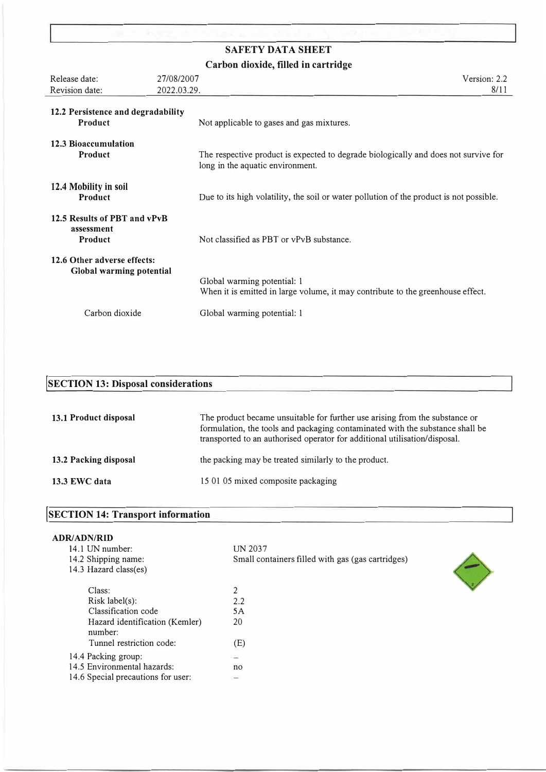**Carbon dioxide, filled in cartridge** 

| Release date:                                           | 27/08/2007  | Version: 2.2                                                                                                            |
|---------------------------------------------------------|-------------|-------------------------------------------------------------------------------------------------------------------------|
| Revision date:                                          | 2022.03.29. | 8/11                                                                                                                    |
| 12.2 Persistence and degradability<br>Product           |             | Not applicable to gases and gas mixtures.                                                                               |
| 12.3 Bioaccumulation<br>Product                         |             | The respective product is expected to degrade biologically and does not survive for<br>long in the aquatic environment. |
| 12.4 Mobility in soil<br>Product                        |             | Due to its high volatility, the soil or water pollution of the product is not possible.                                 |
| 12.5 Results of PBT and vPvB<br>assessment<br>Product   |             | Not classified as PBT or vPvB substance.                                                                                |
| 12.6 Other adverse effects:<br>Global warming potential |             | Global warming potential: 1<br>When it is emitted in large volume, it may contribute to the greenhouse effect.          |
| Carbon dioxide                                          |             | Global warming potential: 1                                                                                             |

# **!SECTION 13: Disposal considerations**

| 13.1 Product disposal | The product became unsuitable for further use arising from the substance or<br>formulation, the tools and packaging contaminated with the substance shall be<br>transported to an authorised operator for additional utilisation/disposal. |  |
|-----------------------|--------------------------------------------------------------------------------------------------------------------------------------------------------------------------------------------------------------------------------------------|--|
| 13.2 Packing disposal | the packing may be treated similarly to the product.                                                                                                                                                                                       |  |
| 13.3 EWC data         | 15 01 05 mixed composite packaging                                                                                                                                                                                                         |  |

| <b>SECTION 14: Transport information</b> |  |
|------------------------------------------|--|
|                                          |  |

## **ADR/ADN/RID**

| 14.1 UN number:                           | <b>UN 2037</b>                                    |
|-------------------------------------------|---------------------------------------------------|
| 14.2 Shipping name:                       | Small containers filled with gas (gas cartridges) |
| 14.3 Hazard class(es)                     |                                                   |
| Class:                                    | 2                                                 |
| Risk label(s):                            | 2.2                                               |
| Classification code                       | 5A                                                |
| Hazard identification (Kemler)<br>number: | 20                                                |
| Tunnel restriction code:                  | (E)                                               |
| 14.4 Packing group:                       |                                                   |
| 14.5 Environmental hazards:               | no                                                |
| 14.6 Special precautions for user:        | $\rightarrow$                                     |
|                                           |                                                   |

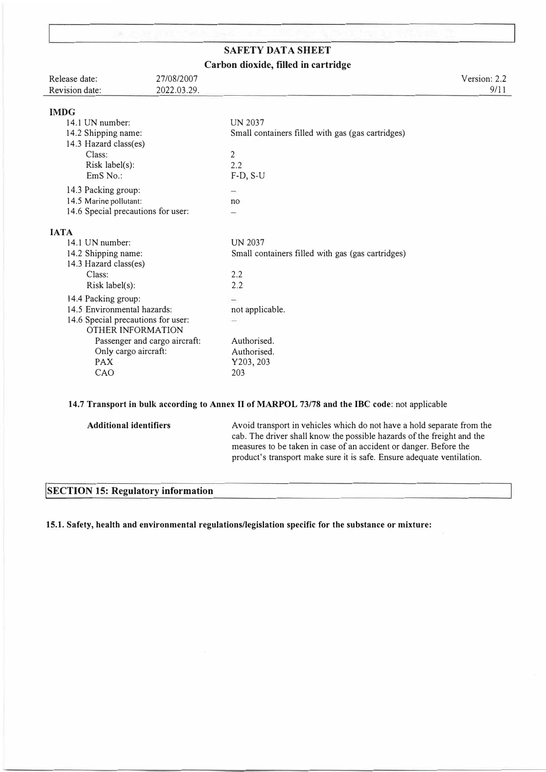# **SAFETY DATA SHEET Carbon dioxide, filled in cartridge**

| Release date:<br>Revision date:                                | 27/08/2007<br>2022.03.29. |                                                   | Version: 2.2<br>9/11 |
|----------------------------------------------------------------|---------------------------|---------------------------------------------------|----------------------|
| <b>IMDG</b>                                                    |                           |                                                   |                      |
| 14.1 UN number:                                                |                           | <b>UN 2037</b>                                    |                      |
| 14.2 Shipping name:                                            |                           | Small containers filled with gas (gas cartridges) |                      |
| 14.3 Hazard class(es)                                          |                           |                                                   |                      |
| Class:                                                         |                           | $\overline{c}$                                    |                      |
| Risk label(s):                                                 |                           | 2.2                                               |                      |
| EmS No.:                                                       |                           | $F-D, S-U$                                        |                      |
| 14.3 Packing group:                                            |                           |                                                   |                      |
| 14.5 Marine pollutant:                                         |                           | no                                                |                      |
| 14.6 Special precautions for user:                             |                           |                                                   |                      |
| <b>IATA</b>                                                    |                           |                                                   |                      |
| 14.1 UN number:                                                |                           | <b>UN 2037</b>                                    |                      |
|                                                                |                           |                                                   |                      |
| 14.2 Shipping name:<br>14.3 Hazard class(es)                   |                           | Small containers filled with gas (gas cartridges) |                      |
| Class:                                                         |                           | 2.2                                               |                      |
| Risk label(s):                                                 |                           | 2.2                                               |                      |
|                                                                |                           |                                                   |                      |
| 14.4 Packing group:                                            |                           |                                                   |                      |
| 14.5 Environmental hazards:                                    |                           | not applicable.                                   |                      |
| 14.6 Special precautions for user:<br><b>OTHER INFORMATION</b> |                           |                                                   |                      |
| Passenger and cargo aircraft:                                  |                           | Authorised.                                       |                      |
| Only cargo aircraft:                                           |                           | Authorised.                                       |                      |
| <b>PAX</b>                                                     |                           |                                                   |                      |
| CAO                                                            |                           | Y203, 203                                         |                      |
|                                                                |                           | 203                                               |                      |

## **14.7 Transport in bulk according to Annex** II **of MARPOL 73/78 and the IBC code:** not applicable

# **jSECTION 15: Regulatory information**

**15.1. Safety, health and environmental regulations/legislation specific for the substance or mixture:**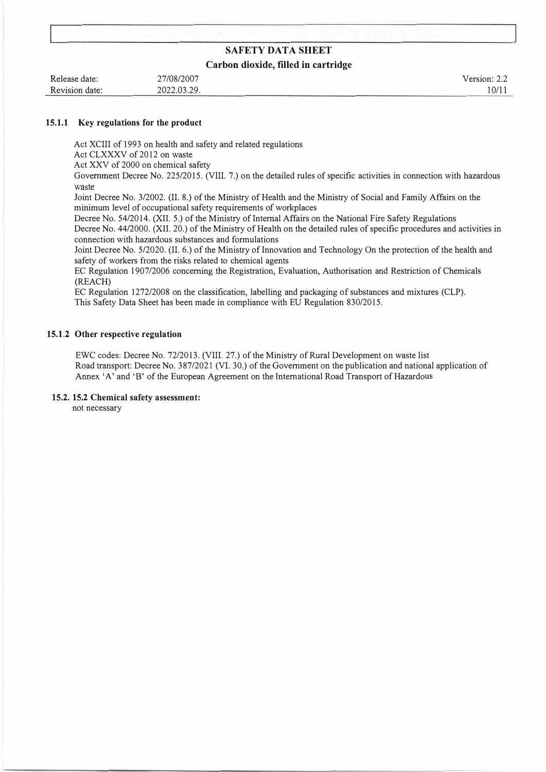#### **Carbon dioxide, filled in cartridge**

| Release date:  | 27/08/2007  |  |
|----------------|-------------|--|
| Revision date: | 2022.03.29. |  |

Version: 2.2 I 0/11

#### **15.1.1 Key regulations for the product**

Act XCIII of 1993 on health and safety and related regulations

Act CLXXXV of 2012 on waste

Act XXV of 2000 on chemical safety

Government Decree No. 225/2015. (VIII. 7 .) on the detailed rules of specific activities in connection with hazardous waste

Joint Decree No. 3/2002. (II. 8.) of the Ministry of Health and the Ministry of Social and Family Affairs on the minimum level of occupational safety requirements of workplaces

Decree No. 54/2014. (XII. 5.) of the Ministry of Internal Affairs on the National Fire Safety Regulations Decree No. 44/2000. **(XII.** 20.) of the Ministry of Health on the detailed rules of specific procedures and activities in connection with hazardous substances and formulations

Joint Decree No. 5/2020. (II. 6.) of the Ministry of Innovation and Technology On the protection of the health and safety of workers from the risks related to chemical agents

EC Regulation 1907/2006 concerning the Registration, Evaluation, Authorisation and Restriction of Chemicals {REACH)

EC Regulation 1272/2008 on the classification, labelling and packaging of substances and mixtures (CLP). This Safety Data Sheet has been made in compliance with EU Regulation 830/2015.

#### **15.1.2 Other respective regulation**

EWC codes: Decree No. 72/2013. {VIII. 27.) of the Ministry of Rural Development on waste list Road transport: Decree No. 387/2021 (VI. 30.) of the Government on the publication and national application of Annex 'A' and 'B' of the European Agreement on the International Road Transport of Hazardous

#### **15.2. 15.2 Chemical safety assessment:**

not necessary